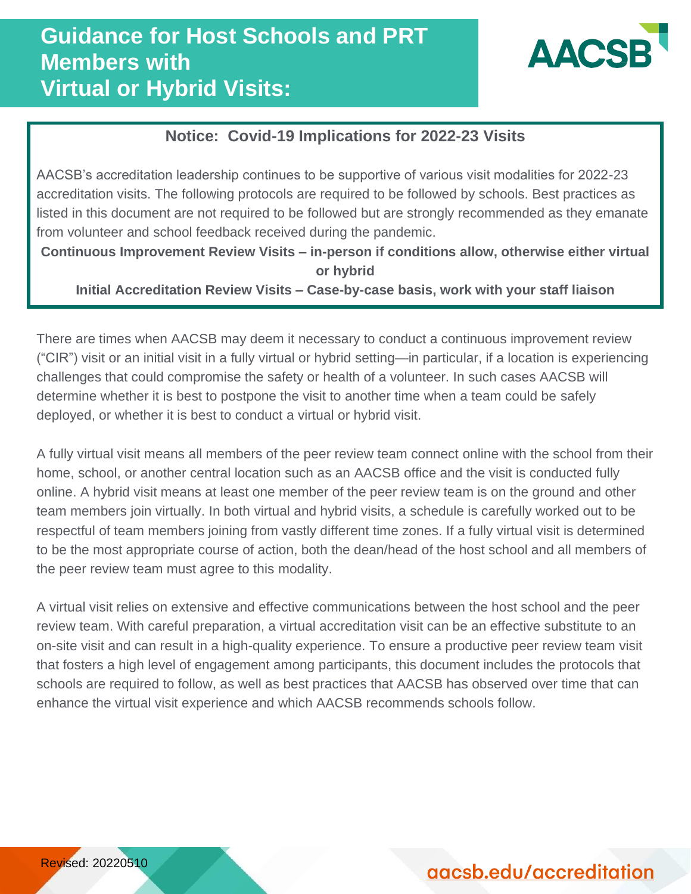

# **Notice: Covid-19 Implications for 2022-23 Visits Protocols and Best Practices**

AACSB's accreditation leadership continues to be supportive of various visit modalities for 2022-23 accreditation visits. The following protocols are required to be followed by schools. Best practices as listed in this document are not required to be followed but are strongly recommended as they emanate from volunteer and school feedback received during the pandemic.

**Continuous Improvement Review Visits – in-person if conditions allow, otherwise either virtual or hybrid**

**Initial Accreditation Review Visits – Case-by-case basis, work with your staff liaison**

There are times when AACSB may deem it necessary to conduct a continuous improvement review ("CIR") visit or an initial visit in a fully virtual or hybrid setting—in particular, if a location is experiencing challenges that could compromise the safety or health of a volunteer. In such cases AACSB will determine whether it is best to postpone the visit to another time when a team could be safely deployed, or whether it is best to conduct a virtual or hybrid visit.

A fully virtual visit means all members of the peer review team connect online with the school from their home, school, or another central location such as an AACSB office and the visit is conducted fully online. A hybrid visit means at least one member of the peer review team is on the ground and other team members join virtually. In both virtual and hybrid visits, a schedule is carefully worked out to be respectful of team members joining from vastly different time zones. If a fully virtual visit is determined to be the most appropriate course of action, both the dean/head of the host school and all members of the peer review team must agree to this modality.

A virtual visit relies on extensive and effective communications between the host school and the peer review team. With careful preparation, a virtual accreditation visit can be an effective substitute to an on-site visit and can result in a high-quality experience. To ensure a productive peer review team visit that fosters a high level of engagement among participants, this document includes the protocols that schools are required to follow, as well as best practices that AACSB has observed over time that can enhance the virtual visit experience and which AACSB recommends schools follow.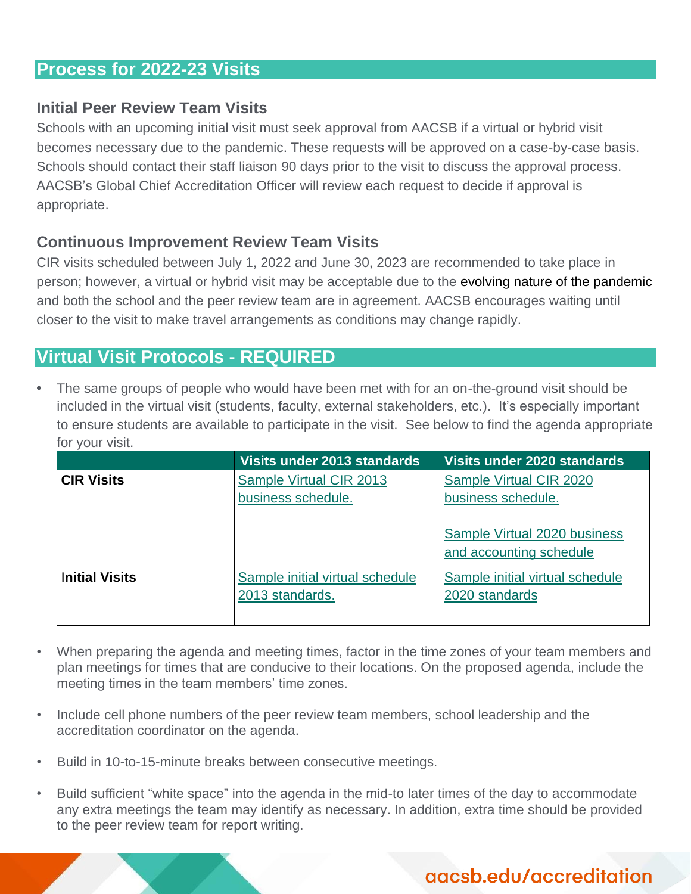## **Process for 2022-23 Visits**

#### **Initial Peer Review Team Visits**

Schools with an upcoming initial visit must seek approval from AACSB if a virtual or hybrid visit becomes necessary due to the pandemic. These requests will be approved on a case-by-case basis. Schools should contact their staff liaison 90 days prior to the visit to discuss the approval process. AACSB's Global Chief Accreditation Officer will review each request to decide if approval is appropriate.

#### **Continuous Improvement Review Team Visits**

CIR visits scheduled between July 1, 2022 and June 30, 2023 are recommended to take place in person; however, a virtual or hybrid visit may be acceptable due to the evolving nature of the pandemic and both the school and the peer review team are in agreement. AACSB encourages waiting until closer to the visit to make travel arrangements as conditions may change rapidly.

## **Virtual Visit Protocols - REQUIRED**

**•** The same groups of people who would have been met with for an on-the-ground visit should be included in the virtual visit (students, faculty, external stakeholders, etc.). It's especially important to ensure students are available to participate in the visit. See below to find the agenda appropriate for your visit.

|                       | Visits under 2013 standards                        | Visits under 2020 standards                             |
|-----------------------|----------------------------------------------------|---------------------------------------------------------|
| <b>CIR Visits</b>     | Sample Virtual CIR 2013<br>business schedule.      | Sample Virtual CIR 2020<br>business schedule.           |
|                       |                                                    | Sample Virtual 2020 business<br>and accounting schedule |
| <b>Initial Visits</b> | Sample initial virtual schedule<br>2013 standards. | Sample initial virtual schedule<br>2020 standards       |

- When preparing the agenda and meeting times, factor in the time zones of your team members and plan meetings for times that are conducive to their locations. On the proposed agenda, include the meeting times in the team members' time zones.
- Include cell phone numbers of the peer review team members, school leadership and the accreditation coordinator on the agenda.
- Build in 10-to-15-minute breaks between consecutive meetings.
- Build sufficient "white space" into the agenda in the mid-to later times of the day to accommodate any extra meetings the team may identify as necessary. In addition, extra time should be provided to the peer review team for report writing.

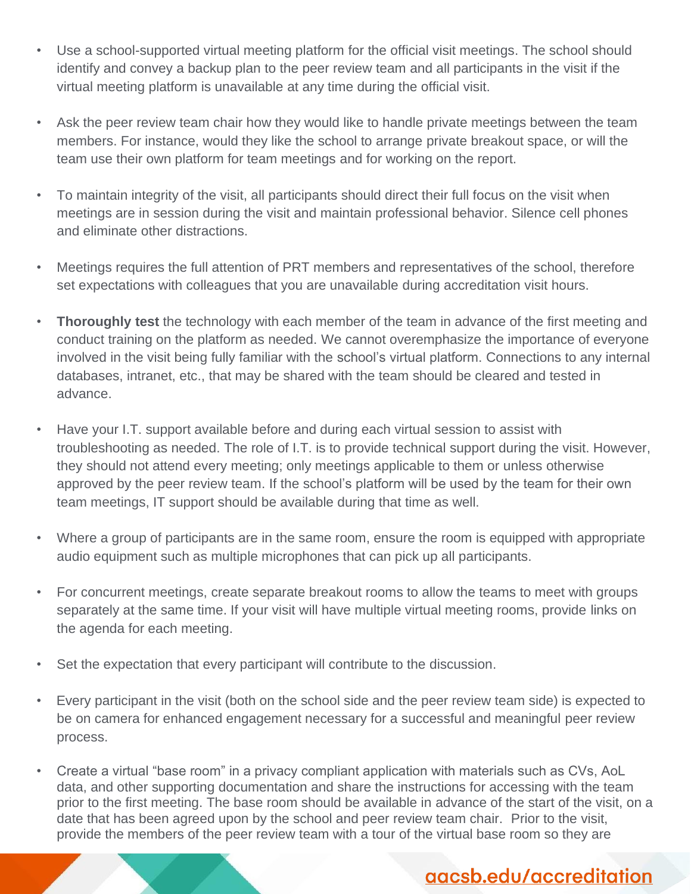- Use a school-supported virtual meeting platform for the official visit meetings. The school should identify and convey a backup plan to the peer review team and all participants in the visit if the virtual meeting platform is unavailable at any time during the official visit.
- Ask the peer review team chair how they would like to handle private meetings between the team members. For instance, would they like the school to arrange private breakout space, or will the team use their own platform for team meetings and for working on the report.
- To maintain integrity of the visit, all participants should direct their full focus on the visit when meetings are in session during the visit and maintain professional behavior. Silence cell phones and eliminate other distractions.
- Meetings requires the full attention of PRT members and representatives of the school, therefore set expectations with colleagues that you are unavailable during accreditation visit hours.
- **Thoroughly test** the technology with each member of the team in advance of the first meeting and conduct training on the platform as needed. We cannot overemphasize the importance of everyone involved in the visit being fully familiar with the school's virtual platform. Connections to any internal databases, intranet, etc., that may be shared with the team should be cleared and tested in advance.
- Have your I.T. support available before and during each virtual session to assist with troubleshooting as needed. The role of I.T. is to provide technical support during the visit. However, they should not attend every meeting; only meetings applicable to them or unless otherwise approved by the peer review team. If the school's platform will be used by the team for their own team meetings, IT support should be available during that time as well.
- Where a group of participants are in the same room, ensure the room is equipped with appropriate audio equipment such as multiple microphones that can pick up all participants.
- For concurrent meetings, create separate breakout rooms to allow the teams to meet with groups separately at the same time. If your visit will have multiple virtual meeting rooms, provide links on the agenda for each meeting.
- Set the expectation that every participant will contribute to the discussion.
- Every participant in the visit (both on the school side and the peer review team side) is expected to be on camera for enhanced engagement necessary for a successful and meaningful peer review process.
- Create a virtual "base room" in a privacy compliant application with materials such as CVs, AoL data, and other supporting documentation and share the instructions for accessing with the team prior to the first meeting. The base room should be available in advance of the start of the visit, on a date that has been agreed upon by the school and peer review team chair. Prior to the visit, provide the members of the peer review team with a tour of the virtual base room so they are

# aacsb.edu/accreditation